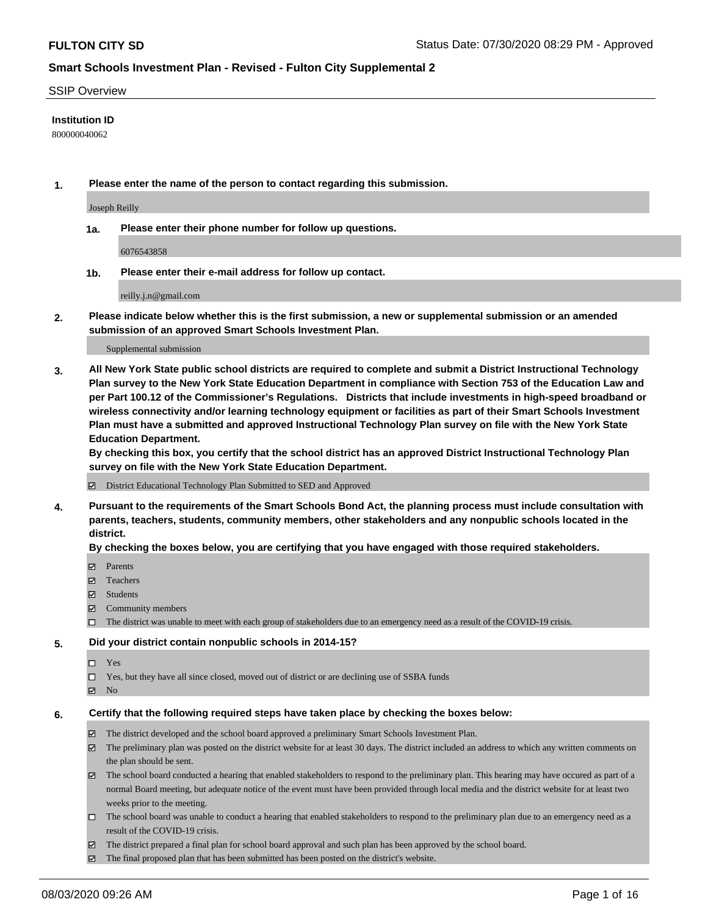#### SSIP Overview

### **Institution ID**

800000040062

**1. Please enter the name of the person to contact regarding this submission.**

Joseph Reilly

**1a. Please enter their phone number for follow up questions.**

6076543858

**1b. Please enter their e-mail address for follow up contact.**

reilly.j.n@gmail.com

**2. Please indicate below whether this is the first submission, a new or supplemental submission or an amended submission of an approved Smart Schools Investment Plan.**

#### Supplemental submission

**3. All New York State public school districts are required to complete and submit a District Instructional Technology Plan survey to the New York State Education Department in compliance with Section 753 of the Education Law and per Part 100.12 of the Commissioner's Regulations. Districts that include investments in high-speed broadband or wireless connectivity and/or learning technology equipment or facilities as part of their Smart Schools Investment Plan must have a submitted and approved Instructional Technology Plan survey on file with the New York State Education Department.** 

**By checking this box, you certify that the school district has an approved District Instructional Technology Plan survey on file with the New York State Education Department.**

District Educational Technology Plan Submitted to SED and Approved

**4. Pursuant to the requirements of the Smart Schools Bond Act, the planning process must include consultation with parents, teachers, students, community members, other stakeholders and any nonpublic schools located in the district.** 

#### **By checking the boxes below, you are certifying that you have engaged with those required stakeholders.**

- **Parents**
- Teachers
- Students
- $\boxtimes$  Community members
- The district was unable to meet with each group of stakeholders due to an emergency need as a result of the COVID-19 crisis.

#### **5. Did your district contain nonpublic schools in 2014-15?**

- $\neg$  Yes
- Yes, but they have all since closed, moved out of district or are declining use of SSBA funds
- **Z** No

#### **6. Certify that the following required steps have taken place by checking the boxes below:**

- The district developed and the school board approved a preliminary Smart Schools Investment Plan.
- $\boxtimes$  The preliminary plan was posted on the district website for at least 30 days. The district included an address to which any written comments on the plan should be sent.
- The school board conducted a hearing that enabled stakeholders to respond to the preliminary plan. This hearing may have occured as part of a normal Board meeting, but adequate notice of the event must have been provided through local media and the district website for at least two weeks prior to the meeting.
- The school board was unable to conduct a hearing that enabled stakeholders to respond to the preliminary plan due to an emergency need as a result of the COVID-19 crisis.
- The district prepared a final plan for school board approval and such plan has been approved by the school board.
- $\boxtimes$  The final proposed plan that has been submitted has been posted on the district's website.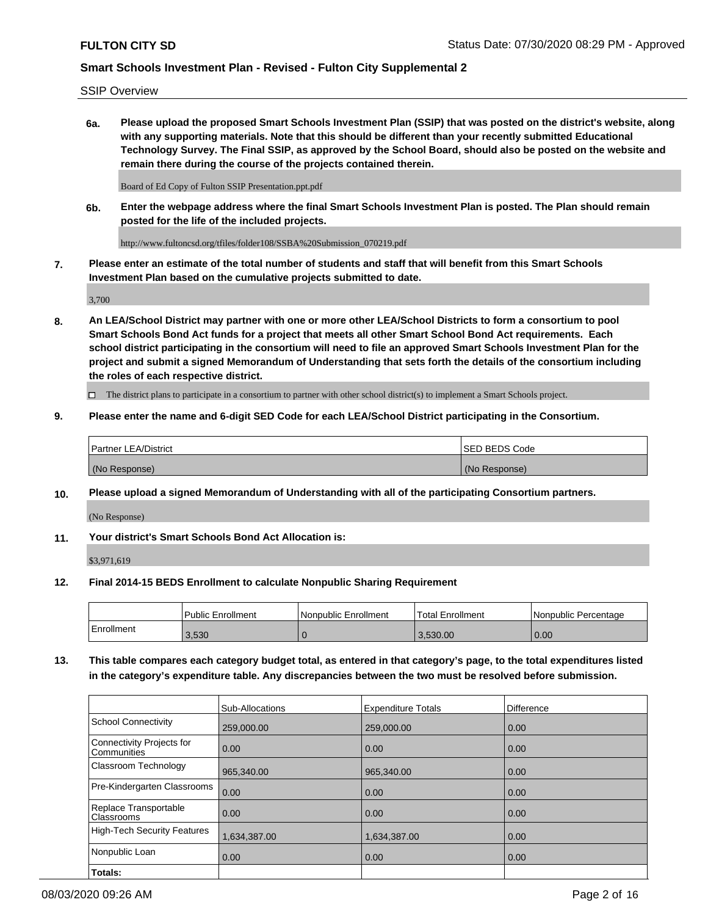SSIP Overview

**6a. Please upload the proposed Smart Schools Investment Plan (SSIP) that was posted on the district's website, along with any supporting materials. Note that this should be different than your recently submitted Educational Technology Survey. The Final SSIP, as approved by the School Board, should also be posted on the website and remain there during the course of the projects contained therein.**

Board of Ed Copy of Fulton SSIP Presentation.ppt.pdf

**6b. Enter the webpage address where the final Smart Schools Investment Plan is posted. The Plan should remain posted for the life of the included projects.**

http://www.fultoncsd.org/tfiles/folder108/SSBA%20Submission\_070219.pdf

**7. Please enter an estimate of the total number of students and staff that will benefit from this Smart Schools Investment Plan based on the cumulative projects submitted to date.**

3,700

**8. An LEA/School District may partner with one or more other LEA/School Districts to form a consortium to pool Smart Schools Bond Act funds for a project that meets all other Smart School Bond Act requirements. Each school district participating in the consortium will need to file an approved Smart Schools Investment Plan for the project and submit a signed Memorandum of Understanding that sets forth the details of the consortium including the roles of each respective district.**

 $\Box$  The district plans to participate in a consortium to partner with other school district(s) to implement a Smart Schools project.

### **9. Please enter the name and 6-digit SED Code for each LEA/School District participating in the Consortium.**

| Partner LEA/District | <b>ISED BEDS Code</b> |
|----------------------|-----------------------|
| (No Response)        | (No Response)         |

### **10. Please upload a signed Memorandum of Understanding with all of the participating Consortium partners.**

(No Response)

**11. Your district's Smart Schools Bond Act Allocation is:**

\$3,971,619

#### **12. Final 2014-15 BEDS Enrollment to calculate Nonpublic Sharing Requirement**

|            | Public Enrollment | Nonpublic Enrollment | Total Enrollment | I Nonpublic Percentage |
|------------|-------------------|----------------------|------------------|------------------------|
| Enrollment | 3,530             |                      | 3.530.00         | 0.00                   |

**13. This table compares each category budget total, as entered in that category's page, to the total expenditures listed in the category's expenditure table. Any discrepancies between the two must be resolved before submission.**

|                                          | Sub-Allocations | <b>Expenditure Totals</b> | Difference |
|------------------------------------------|-----------------|---------------------------|------------|
| <b>School Connectivity</b>               | 259,000.00      | 259,000.00                | 0.00       |
| Connectivity Projects for<br>Communities | 0.00            | 0.00                      | 0.00       |
| Classroom Technology                     | 965,340.00      | 965,340.00                | 0.00       |
| Pre-Kindergarten Classrooms              | 0.00            | 0.00                      | 0.00       |
| Replace Transportable<br>Classrooms      | 0.00            | 0.00                      | 0.00       |
| <b>High-Tech Security Features</b>       | 1,634,387.00    | 1,634,387.00              | 0.00       |
| Nonpublic Loan                           | 0.00            | 0.00                      | 0.00       |
| Totals:                                  |                 |                           |            |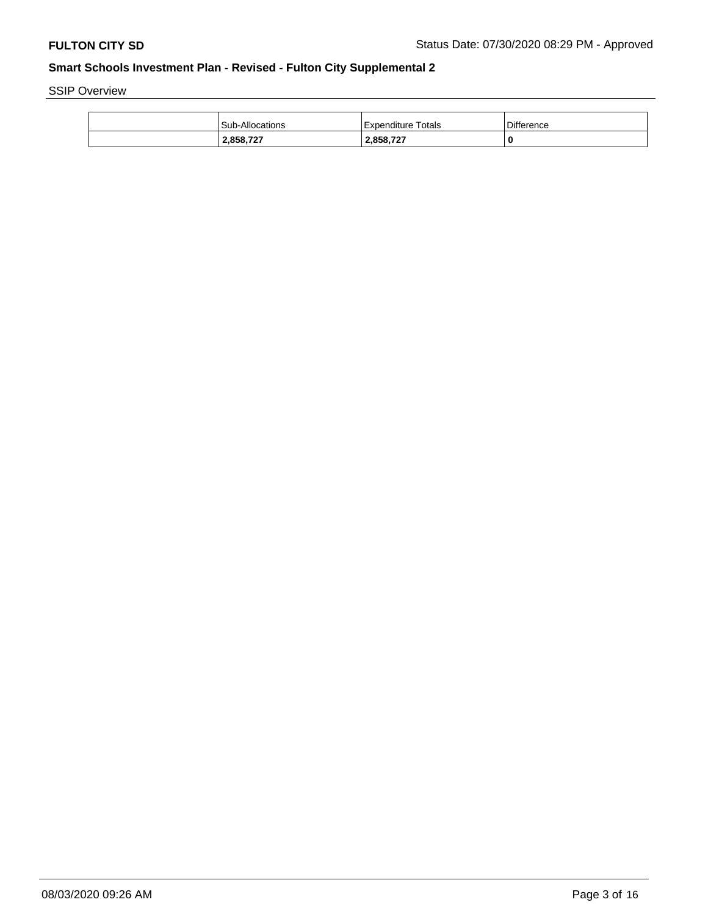SSIP Overview

| <b>Sub-Allocations</b> | Expenditure Totals | <b>Difference</b> |
|------------------------|--------------------|-------------------|
| 2,858,727              | 2,858,727          | 0                 |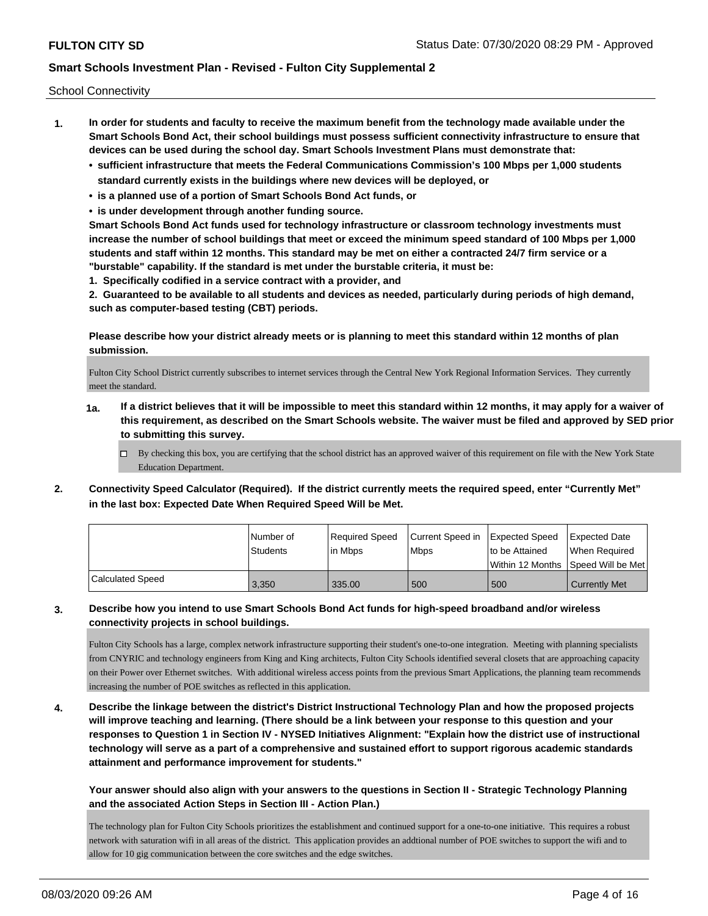School Connectivity

- **1. In order for students and faculty to receive the maximum benefit from the technology made available under the Smart Schools Bond Act, their school buildings must possess sufficient connectivity infrastructure to ensure that devices can be used during the school day. Smart Schools Investment Plans must demonstrate that:**
	- **• sufficient infrastructure that meets the Federal Communications Commission's 100 Mbps per 1,000 students standard currently exists in the buildings where new devices will be deployed, or**
	- **• is a planned use of a portion of Smart Schools Bond Act funds, or**
	- **• is under development through another funding source.**

**Smart Schools Bond Act funds used for technology infrastructure or classroom technology investments must increase the number of school buildings that meet or exceed the minimum speed standard of 100 Mbps per 1,000 students and staff within 12 months. This standard may be met on either a contracted 24/7 firm service or a "burstable" capability. If the standard is met under the burstable criteria, it must be:**

**1. Specifically codified in a service contract with a provider, and**

**2. Guaranteed to be available to all students and devices as needed, particularly during periods of high demand, such as computer-based testing (CBT) periods.**

**Please describe how your district already meets or is planning to meet this standard within 12 months of plan submission.**

Fulton City School District currently subscribes to internet services through the Central New York Regional Information Services. They currently meet the standard.

- **1a. If a district believes that it will be impossible to meet this standard within 12 months, it may apply for a waiver of this requirement, as described on the Smart Schools website. The waiver must be filed and approved by SED prior to submitting this survey.**
	- $\Box$  By checking this box, you are certifying that the school district has an approved waiver of this requirement on file with the New York State Education Department.
- **2. Connectivity Speed Calculator (Required). If the district currently meets the required speed, enter "Currently Met" in the last box: Expected Date When Required Speed Will be Met.**

|                  | l Number of     | Required Speed | Current Speed in Expected Speed |                | Expected Date                        |
|------------------|-----------------|----------------|---------------------------------|----------------|--------------------------------------|
|                  | <b>Students</b> | l in Mbps      | <b>Mbps</b>                     | to be Attained | When Required                        |
|                  |                 |                |                                 |                | Within 12 Months 1Speed Will be Met1 |
| Calculated Speed | 3,350           | 335.00         | 500                             | 500            | <b>Currently Met</b>                 |

**3. Describe how you intend to use Smart Schools Bond Act funds for high-speed broadband and/or wireless connectivity projects in school buildings.**

Fulton City Schools has a large, complex network infrastructure supporting their student's one-to-one integration. Meeting with planning specialists from CNYRIC and technology engineers from King and King architects, Fulton City Schools identified several closets that are approaching capacity on their Power over Ethernet switches. With additional wireless access points from the previous Smart Applications, the planning team recommends increasing the number of POE switches as reflected in this application.

**4. Describe the linkage between the district's District Instructional Technology Plan and how the proposed projects will improve teaching and learning. (There should be a link between your response to this question and your responses to Question 1 in Section IV - NYSED Initiatives Alignment: "Explain how the district use of instructional technology will serve as a part of a comprehensive and sustained effort to support rigorous academic standards attainment and performance improvement for students."** 

**Your answer should also align with your answers to the questions in Section II - Strategic Technology Planning and the associated Action Steps in Section III - Action Plan.)**

The technology plan for Fulton City Schools prioritizes the establishment and continued support for a one-to-one initiative. This requires a robust network with saturation wifi in all areas of the district. This application provides an addtional number of POE switches to support the wifi and to allow for 10 gig communication between the core switches and the edge switches.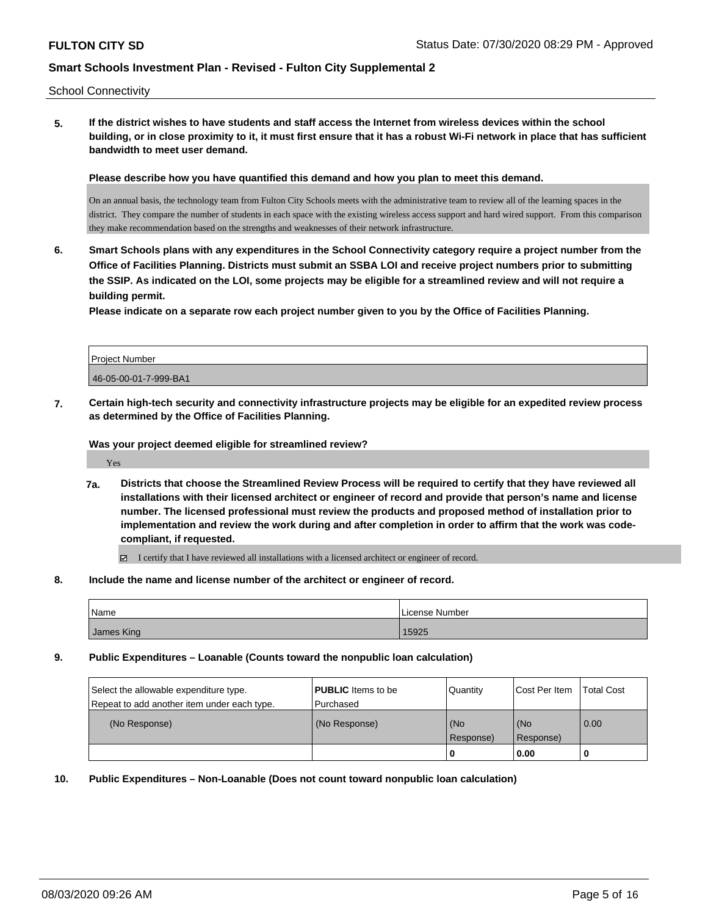School Connectivity

**5. If the district wishes to have students and staff access the Internet from wireless devices within the school building, or in close proximity to it, it must first ensure that it has a robust Wi-Fi network in place that has sufficient bandwidth to meet user demand.**

**Please describe how you have quantified this demand and how you plan to meet this demand.**

On an annual basis, the technology team from Fulton City Schools meets with the administrative team to review all of the learning spaces in the district. They compare the number of students in each space with the existing wireless access support and hard wired support. From this comparison they make recommendation based on the strengths and weaknesses of their network infrastructure.

**6. Smart Schools plans with any expenditures in the School Connectivity category require a project number from the Office of Facilities Planning. Districts must submit an SSBA LOI and receive project numbers prior to submitting the SSIP. As indicated on the LOI, some projects may be eligible for a streamlined review and will not require a building permit.**

**Please indicate on a separate row each project number given to you by the Office of Facilities Planning.**

| Project Number        |  |
|-----------------------|--|
| 46-05-00-01-7-999-BA1 |  |

**7. Certain high-tech security and connectivity infrastructure projects may be eligible for an expedited review process as determined by the Office of Facilities Planning.**

**Was your project deemed eligible for streamlined review?**

Yes

**7a. Districts that choose the Streamlined Review Process will be required to certify that they have reviewed all installations with their licensed architect or engineer of record and provide that person's name and license number. The licensed professional must review the products and proposed method of installation prior to implementation and review the work during and after completion in order to affirm that the work was codecompliant, if requested.**

I certify that I have reviewed all installations with a licensed architect or engineer of record.

**8. Include the name and license number of the architect or engineer of record.**

| <b>Name</b> | License Number |
|-------------|----------------|
| James King  | 15925          |

**9. Public Expenditures – Loanable (Counts toward the nonpublic loan calculation)**

| Select the allowable expenditure type.<br>Repeat to add another item under each type. | <b>PUBLIC</b> Items to be<br>l Purchased | Quantity           | Cost Per Item    | <b>Total Cost</b> |
|---------------------------------------------------------------------------------------|------------------------------------------|--------------------|------------------|-------------------|
| (No Response)                                                                         | (No Response)                            | (No<br>l Response) | (No<br>Response) | 0.00              |
|                                                                                       |                                          | U                  | 0.00             |                   |

**10. Public Expenditures – Non-Loanable (Does not count toward nonpublic loan calculation)**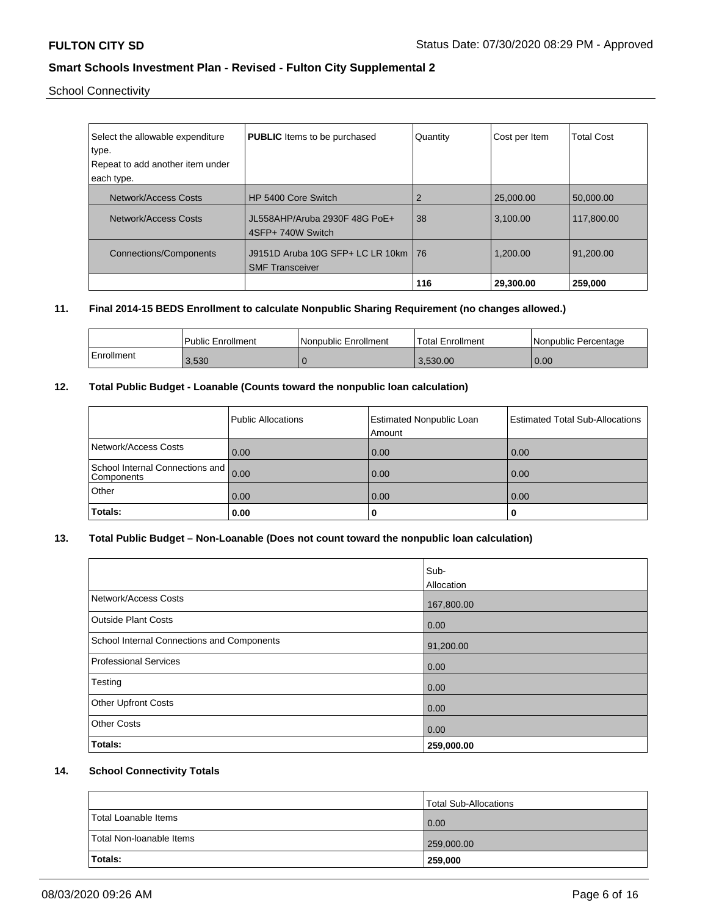School Connectivity

| Select the allowable expenditure<br>type.<br>Repeat to add another item under<br>each type. | <b>PUBLIC</b> Items to be purchased                             | Quantity | Cost per Item | <b>Total Cost</b> |
|---------------------------------------------------------------------------------------------|-----------------------------------------------------------------|----------|---------------|-------------------|
| Network/Access Costs                                                                        | HP 5400 Core Switch                                             | 2        | 25,000,00     | 50.000.00         |
| Network/Access Costs                                                                        | JL558AHP/Aruba 2930F 48G PoE+<br>4SFP+ 740W Switch              | 38       | 3,100.00      | 117,800.00        |
| Connections/Components                                                                      | J9151D Aruba 10G SFP+ LC LR 10km   76<br><b>SMF Transceiver</b> |          | 1.200.00      | 91.200.00         |
|                                                                                             |                                                                 | 116      | 29,300.00     | 259,000           |

### **11. Final 2014-15 BEDS Enrollment to calculate Nonpublic Sharing Requirement (no changes allowed.)**

|            | <b>Public Enrollment</b> | Nonpublic Enrollment | Total Enrollment | Nonpublic Percentage |
|------------|--------------------------|----------------------|------------------|----------------------|
| Enrollment | 3,530                    |                      | 3.530.00         | 0.00                 |

# **12. Total Public Budget - Loanable (Counts toward the nonpublic loan calculation)**

|                                               | Public Allocations | <b>Estimated Nonpublic Loan</b><br>Amount | <b>Estimated Total Sub-Allocations</b> |
|-----------------------------------------------|--------------------|-------------------------------------------|----------------------------------------|
| Network/Access Costs                          | 0.00               | 0.00                                      | 0.00                                   |
| School Internal Connections and<br>Components | 0.00               | 0.00                                      | 0.00                                   |
| Other                                         | 0.00               | 0.00                                      | 0.00                                   |
| Totals:                                       | 0.00               | o                                         | U                                      |

# **13. Total Public Budget – Non-Loanable (Does not count toward the nonpublic loan calculation)**

|                                                   | Sub-       |
|---------------------------------------------------|------------|
|                                                   | Allocation |
| Network/Access Costs                              | 167,800.00 |
| <b>Outside Plant Costs</b>                        | 0.00       |
| <b>School Internal Connections and Components</b> | 91,200.00  |
| Professional Services                             | 0.00       |
| Testing                                           | 0.00       |
| <b>Other Upfront Costs</b>                        | 0.00       |
| <b>Other Costs</b>                                | 0.00       |
| Totals:                                           | 259,000.00 |

## **14. School Connectivity Totals**

|                          | Total Sub-Allocations |
|--------------------------|-----------------------|
| Total Loanable Items     | 0.00                  |
| Total Non-loanable Items | 259,000.00            |
| Totals:                  | 259,000               |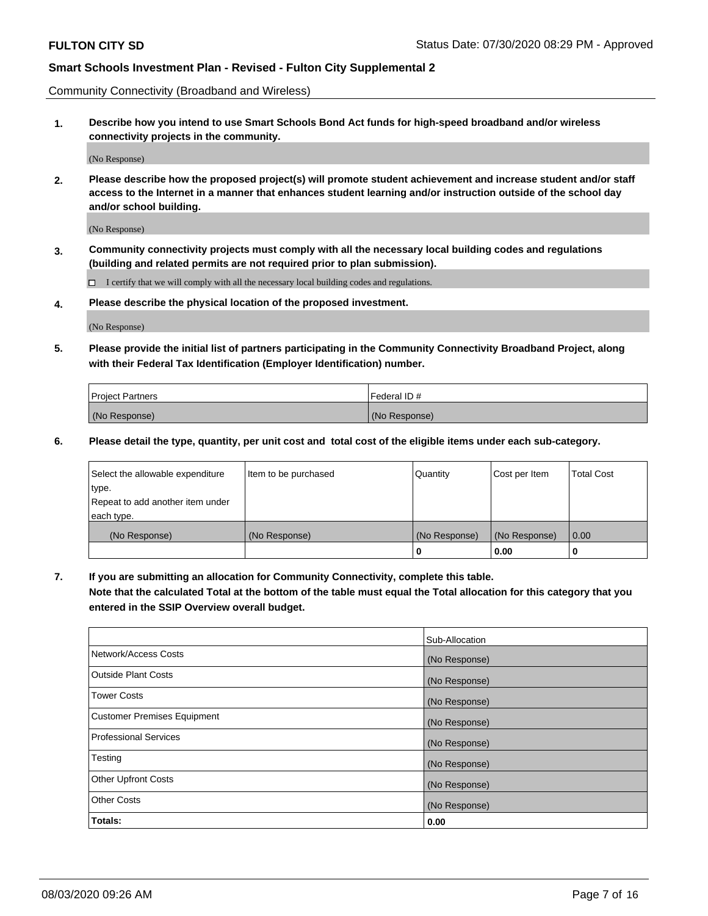Community Connectivity (Broadband and Wireless)

**1. Describe how you intend to use Smart Schools Bond Act funds for high-speed broadband and/or wireless connectivity projects in the community.**

(No Response)

**2. Please describe how the proposed project(s) will promote student achievement and increase student and/or staff access to the Internet in a manner that enhances student learning and/or instruction outside of the school day and/or school building.**

(No Response)

**3. Community connectivity projects must comply with all the necessary local building codes and regulations (building and related permits are not required prior to plan submission).**

 $\Box$  I certify that we will comply with all the necessary local building codes and regulations.

**4. Please describe the physical location of the proposed investment.**

(No Response)

**5. Please provide the initial list of partners participating in the Community Connectivity Broadband Project, along with their Federal Tax Identification (Employer Identification) number.**

| <b>Project Partners</b> | l Federal ID # |
|-------------------------|----------------|
| (No Response)           | (No Response)  |

**6. Please detail the type, quantity, per unit cost and total cost of the eligible items under each sub-category.**

| Select the allowable expenditure | Item to be purchased | Quantity      | Cost per Item | <b>Total Cost</b> |
|----------------------------------|----------------------|---------------|---------------|-------------------|
| type.                            |                      |               |               |                   |
| Repeat to add another item under |                      |               |               |                   |
| each type.                       |                      |               |               |                   |
| (No Response)                    | (No Response)        | (No Response) | (No Response) | 0.00              |
|                                  |                      | o             | 0.00          |                   |

**7. If you are submitting an allocation for Community Connectivity, complete this table.**

**Note that the calculated Total at the bottom of the table must equal the Total allocation for this category that you entered in the SSIP Overview overall budget.**

|                                    | Sub-Allocation |
|------------------------------------|----------------|
| Network/Access Costs               | (No Response)  |
| Outside Plant Costs                | (No Response)  |
| <b>Tower Costs</b>                 | (No Response)  |
| <b>Customer Premises Equipment</b> | (No Response)  |
| <b>Professional Services</b>       | (No Response)  |
| Testing                            | (No Response)  |
| <b>Other Upfront Costs</b>         | (No Response)  |
| <b>Other Costs</b>                 | (No Response)  |
| Totals:                            | 0.00           |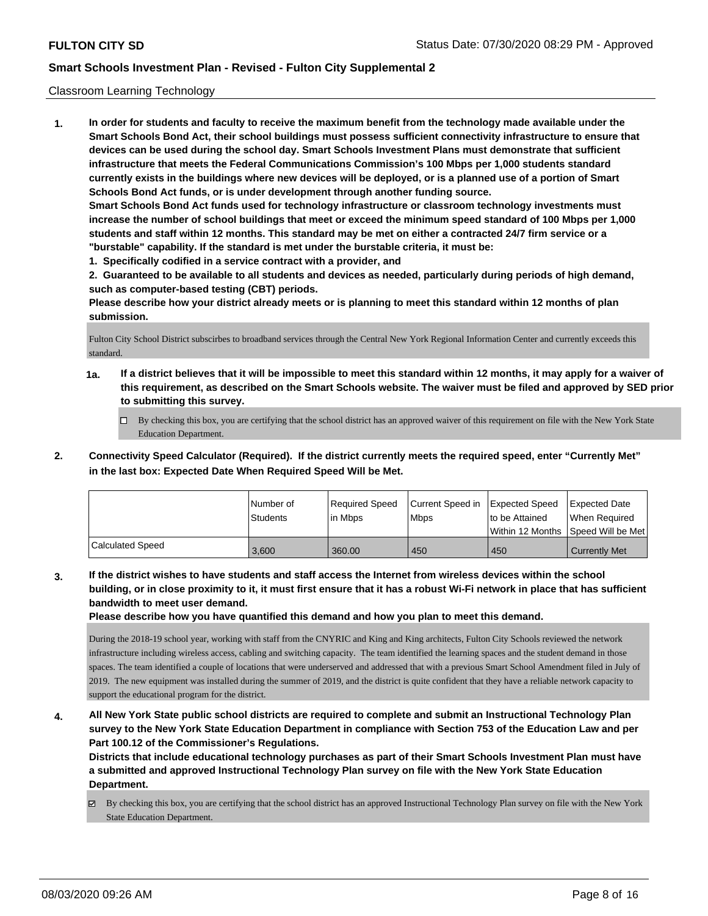### Classroom Learning Technology

**1. In order for students and faculty to receive the maximum benefit from the technology made available under the Smart Schools Bond Act, their school buildings must possess sufficient connectivity infrastructure to ensure that devices can be used during the school day. Smart Schools Investment Plans must demonstrate that sufficient infrastructure that meets the Federal Communications Commission's 100 Mbps per 1,000 students standard currently exists in the buildings where new devices will be deployed, or is a planned use of a portion of Smart Schools Bond Act funds, or is under development through another funding source. Smart Schools Bond Act funds used for technology infrastructure or classroom technology investments must increase the number of school buildings that meet or exceed the minimum speed standard of 100 Mbps per 1,000 students and staff within 12 months. This standard may be met on either a contracted 24/7 firm service or a "burstable" capability. If the standard is met under the burstable criteria, it must be:**

**1. Specifically codified in a service contract with a provider, and**

**2. Guaranteed to be available to all students and devices as needed, particularly during periods of high demand, such as computer-based testing (CBT) periods.**

**Please describe how your district already meets or is planning to meet this standard within 12 months of plan submission.**

Fulton City School District subscirbes to broadband services through the Central New York Regional Information Center and currently exceeds this standard.

- **1a. If a district believes that it will be impossible to meet this standard within 12 months, it may apply for a waiver of this requirement, as described on the Smart Schools website. The waiver must be filed and approved by SED prior to submitting this survey.**
	- By checking this box, you are certifying that the school district has an approved waiver of this requirement on file with the New York State Education Department.
- **2. Connectivity Speed Calculator (Required). If the district currently meets the required speed, enter "Currently Met" in the last box: Expected Date When Required Speed Will be Met.**

|                  | l Number of<br>Students | Required Speed<br>l in Mbps | Current Speed in<br>l Mbps | <b>Expected Speed</b><br>to be Attained | <b>Expected Date</b><br>When Required<br> Within 12 Months  Speed Will be Met |
|------------------|-------------------------|-----------------------------|----------------------------|-----------------------------------------|-------------------------------------------------------------------------------|
| Calculated Speed | 3.600                   | 360.00                      | 450                        | 450                                     | <b>Currently Met</b>                                                          |

**3. If the district wishes to have students and staff access the Internet from wireless devices within the school building, or in close proximity to it, it must first ensure that it has a robust Wi-Fi network in place that has sufficient bandwidth to meet user demand.**

**Please describe how you have quantified this demand and how you plan to meet this demand.**

During the 2018-19 school year, working with staff from the CNYRIC and King and King architects, Fulton City Schools reviewed the network infrastructure including wireless access, cabling and switching capacity. The team identified the learning spaces and the student demand in those spaces. The team identified a couple of locations that were underserved and addressed that with a previous Smart School Amendment filed in July of 2019. The new equipment was installed during the summer of 2019, and the district is quite confident that they have a reliable network capacity to support the educational program for the district.

**4. All New York State public school districts are required to complete and submit an Instructional Technology Plan survey to the New York State Education Department in compliance with Section 753 of the Education Law and per Part 100.12 of the Commissioner's Regulations.**

**Districts that include educational technology purchases as part of their Smart Schools Investment Plan must have a submitted and approved Instructional Technology Plan survey on file with the New York State Education Department.**

 $\boxtimes$  By checking this box, you are certifying that the school district has an approved Instructional Technology Plan survey on file with the New York State Education Department.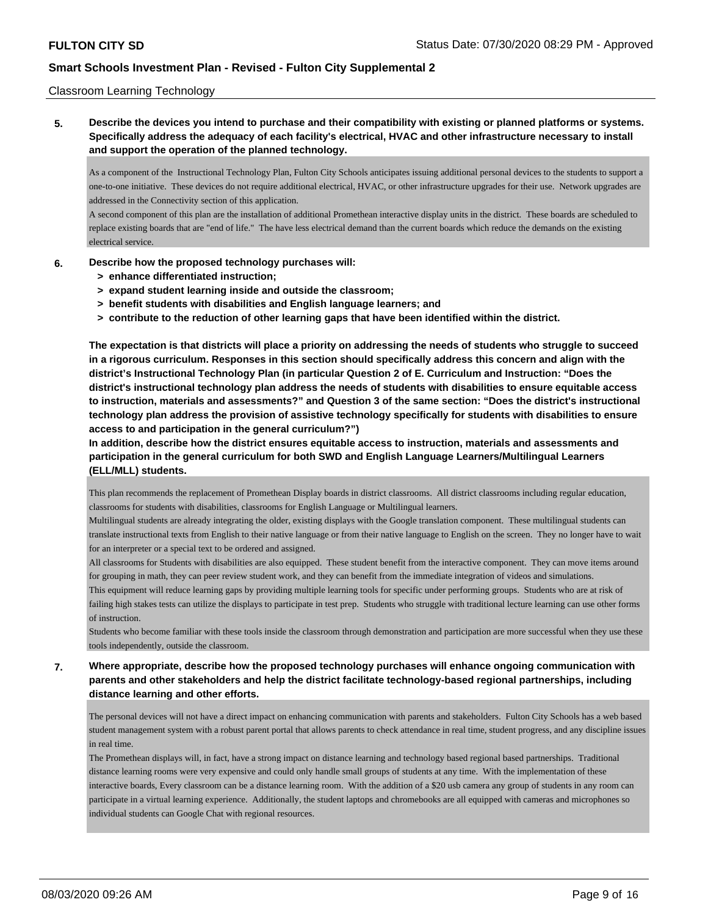### Classroom Learning Technology

**5. Describe the devices you intend to purchase and their compatibility with existing or planned platforms or systems. Specifically address the adequacy of each facility's electrical, HVAC and other infrastructure necessary to install and support the operation of the planned technology.**

As a component of the Instructional Technology Plan, Fulton City Schools anticipates issuing additional personal devices to the students to support a one-to-one initiative. These devices do not require additional electrical, HVAC, or other infrastructure upgrades for their use. Network upgrades are addressed in the Connectivity section of this application.

A second component of this plan are the installation of additional Promethean interactive display units in the district. These boards are scheduled to replace existing boards that are "end of life." The have less electrical demand than the current boards which reduce the demands on the existing electrical service.

### **6. Describe how the proposed technology purchases will:**

- **> enhance differentiated instruction;**
- **> expand student learning inside and outside the classroom;**
- **> benefit students with disabilities and English language learners; and**
- **> contribute to the reduction of other learning gaps that have been identified within the district.**

**The expectation is that districts will place a priority on addressing the needs of students who struggle to succeed in a rigorous curriculum. Responses in this section should specifically address this concern and align with the district's Instructional Technology Plan (in particular Question 2 of E. Curriculum and Instruction: "Does the district's instructional technology plan address the needs of students with disabilities to ensure equitable access to instruction, materials and assessments?" and Question 3 of the same section: "Does the district's instructional technology plan address the provision of assistive technology specifically for students with disabilities to ensure access to and participation in the general curriculum?")**

**In addition, describe how the district ensures equitable access to instruction, materials and assessments and participation in the general curriculum for both SWD and English Language Learners/Multilingual Learners (ELL/MLL) students.**

This plan recommends the replacement of Promethean Display boards in district classrooms. All district classrooms including regular education, classrooms for students with disabilities, classrooms for English Language or Multilingual learners.

Multilingual students are already integrating the older, existing displays with the Google translation component. These multilingual students can translate instructional texts from English to their native language or from their native language to English on the screen. They no longer have to wait for an interpreter or a special text to be ordered and assigned.

All classrooms for Students with disabilities are also equipped. These student benefit from the interactive component. They can move items around for grouping in math, they can peer review student work, and they can benefit from the immediate integration of videos and simulations.

This equipment will reduce learning gaps by providing multiple learning tools for specific under performing groups. Students who are at risk of failing high stakes tests can utilize the displays to participate in test prep. Students who struggle with traditional lecture learning can use other forms of instruction.

Students who become familiar with these tools inside the classroom through demonstration and participation are more successful when they use these tools independently, outside the classroom.

**7. Where appropriate, describe how the proposed technology purchases will enhance ongoing communication with parents and other stakeholders and help the district facilitate technology-based regional partnerships, including distance learning and other efforts.**

The personal devices will not have a direct impact on enhancing communication with parents and stakeholders. Fulton City Schools has a web based student management system with a robust parent portal that allows parents to check attendance in real time, student progress, and any discipline issues in real time.

The Promethean displays will, in fact, have a strong impact on distance learning and technology based regional based partnerships. Traditional distance learning rooms were very expensive and could only handle small groups of students at any time. With the implementation of these interactive boards, Every classroom can be a distance learning room. With the addition of a \$20 usb camera any group of students in any room can participate in a virtual learning experience. Additionally, the student laptops and chromebooks are all equipped with cameras and microphones so individual students can Google Chat with regional resources.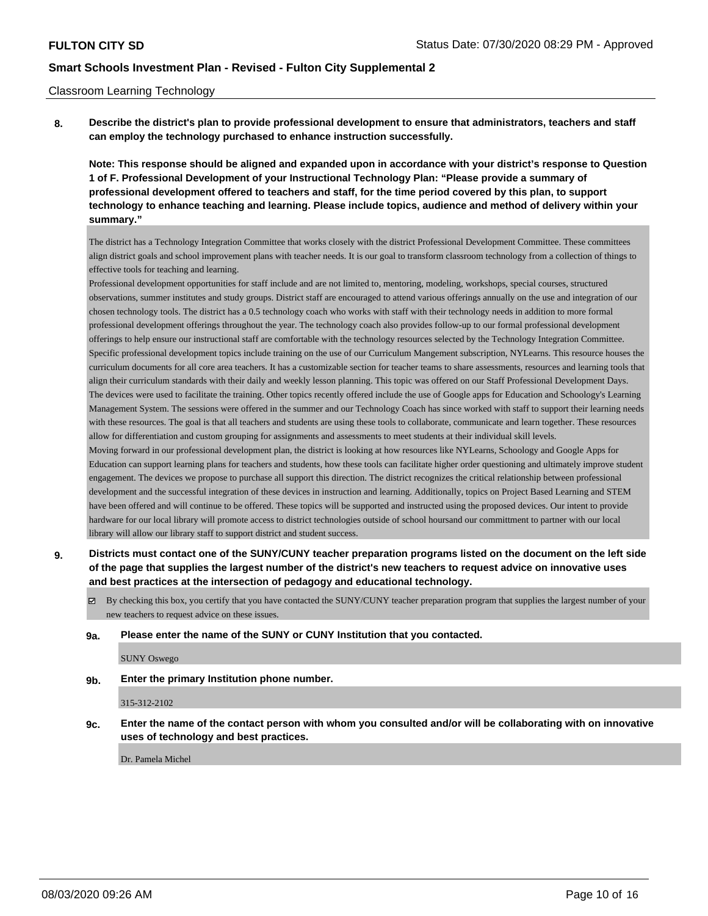#### Classroom Learning Technology

**8. Describe the district's plan to provide professional development to ensure that administrators, teachers and staff can employ the technology purchased to enhance instruction successfully.**

**Note: This response should be aligned and expanded upon in accordance with your district's response to Question 1 of F. Professional Development of your Instructional Technology Plan: "Please provide a summary of professional development offered to teachers and staff, for the time period covered by this plan, to support technology to enhance teaching and learning. Please include topics, audience and method of delivery within your summary."**

The district has a Technology Integration Committee that works closely with the district Professional Development Committee. These committees align district goals and school improvement plans with teacher needs. It is our goal to transform classroom technology from a collection of things to effective tools for teaching and learning.

Professional development opportunities for staff include and are not limited to, mentoring, modeling, workshops, special courses, structured observations, summer institutes and study groups. District staff are encouraged to attend various offerings annually on the use and integration of our chosen technology tools. The district has a 0.5 technology coach who works with staff with their technology needs in addition to more formal professional development offerings throughout the year. The technology coach also provides follow-up to our formal professional development offerings to help ensure our instructional staff are comfortable with the technology resources selected by the Technology Integration Committee. Specific professional development topics include training on the use of our Curriculum Mangement subscription, NYLearns. This resource houses the curriculum documents for all core area teachers. It has a customizable section for teacher teams to share assessments, resources and learning tools that align their curriculum standards with their daily and weekly lesson planning. This topic was offered on our Staff Professional Development Days. The devices were used to facilitate the training. Other topics recently offered include the use of Google apps for Education and Schoology's Learning Management System. The sessions were offered in the summer and our Technology Coach has since worked with staff to support their learning needs with these resources. The goal is that all teachers and students are using these tools to collaborate, communicate and learn together. These resources allow for differentiation and custom grouping for assignments and assessments to meet students at their individual skill levels. Moving forward in our professional development plan, the district is looking at how resources like NYLearns, Schoology and Google Apps for Education can support learning plans for teachers and students, how these tools can facilitate higher order questioning and ultimately improve student engagement. The devices we propose to purchase all support this direction. The district recognizes the critical relationship between professional development and the successful integration of these devices in instruction and learning. Additionally, topics on Project Based Learning and STEM have been offered and will continue to be offered. These topics will be supported and instructed using the proposed devices. Our intent to provide hardware for our local library will promote access to district technologies outside of school hoursand our committment to partner with our local library will allow our library staff to support district and student success.

### **9. Districts must contact one of the SUNY/CUNY teacher preparation programs listed on the document on the left side of the page that supplies the largest number of the district's new teachers to request advice on innovative uses and best practices at the intersection of pedagogy and educational technology.**

By checking this box, you certify that you have contacted the SUNY/CUNY teacher preparation program that supplies the largest number of your new teachers to request advice on these issues.

#### **9a. Please enter the name of the SUNY or CUNY Institution that you contacted.**

SUNY Oswego

### **9b. Enter the primary Institution phone number.**

315-312-2102

**9c. Enter the name of the contact person with whom you consulted and/or will be collaborating with on innovative uses of technology and best practices.**

Dr. Pamela Michel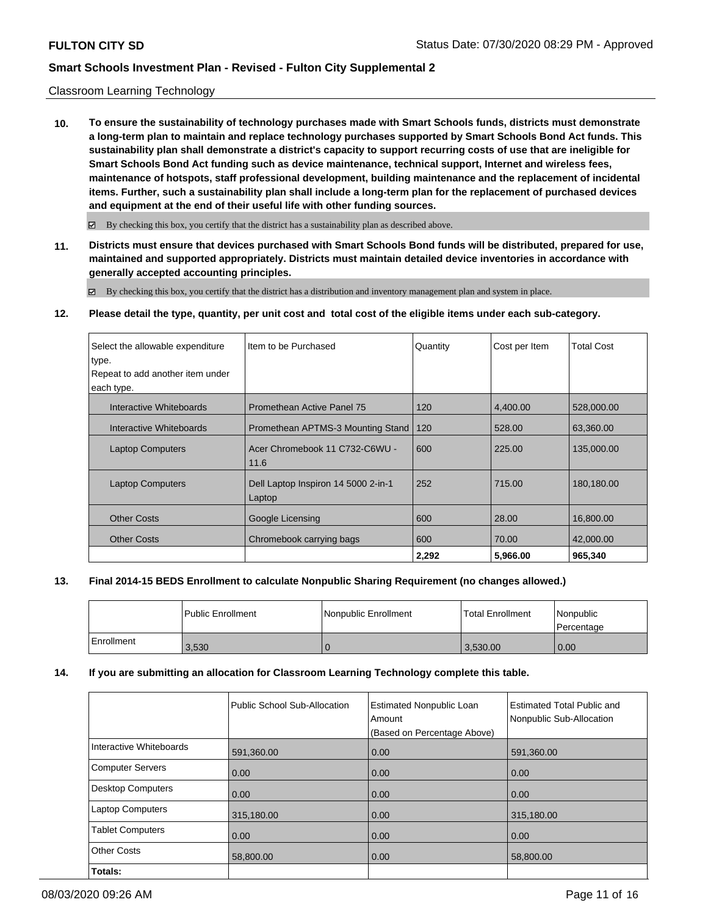### Classroom Learning Technology

**10. To ensure the sustainability of technology purchases made with Smart Schools funds, districts must demonstrate a long-term plan to maintain and replace technology purchases supported by Smart Schools Bond Act funds. This sustainability plan shall demonstrate a district's capacity to support recurring costs of use that are ineligible for Smart Schools Bond Act funding such as device maintenance, technical support, Internet and wireless fees, maintenance of hotspots, staff professional development, building maintenance and the replacement of incidental items. Further, such a sustainability plan shall include a long-term plan for the replacement of purchased devices and equipment at the end of their useful life with other funding sources.**

 $\boxtimes$  By checking this box, you certify that the district has a sustainability plan as described above.

**11. Districts must ensure that devices purchased with Smart Schools Bond funds will be distributed, prepared for use, maintained and supported appropriately. Districts must maintain detailed device inventories in accordance with generally accepted accounting principles.**

By checking this box, you certify that the district has a distribution and inventory management plan and system in place.

### **12. Please detail the type, quantity, per unit cost and total cost of the eligible items under each sub-category.**

| Select the allowable expenditure<br>type.<br>Repeat to add another item under<br>each type. | Item to be Purchased                          | Quantity | Cost per Item | <b>Total Cost</b> |
|---------------------------------------------------------------------------------------------|-----------------------------------------------|----------|---------------|-------------------|
| Interactive Whiteboards                                                                     | Promethean Active Panel 75                    | 120      | 4.400.00      | 528,000.00        |
| Interactive Whiteboards                                                                     | Promethean APTMS-3 Mounting Stand             | 120      | 528.00        | 63,360.00         |
| <b>Laptop Computers</b>                                                                     | Acer Chromebook 11 C732-C6WU -<br>11.6        | 600      | 225.00        | 135,000.00        |
| <b>Laptop Computers</b>                                                                     | Dell Laptop Inspiron 14 5000 2-in-1<br>Laptop | 252      | 715.00        | 180,180.00        |
| <b>Other Costs</b>                                                                          | Google Licensing                              | 600      | 28.00         | 16,800.00         |
| <b>Other Costs</b>                                                                          | Chromebook carrying bags                      | 600      | 70.00         | 42,000,00         |
|                                                                                             |                                               | 2,292    | 5,966.00      | 965,340           |

### **13. Final 2014-15 BEDS Enrollment to calculate Nonpublic Sharing Requirement (no changes allowed.)**

|            | Public Enrollment | Nonpublic Enrollment | <b>Total Enrollment</b> | Nonpublic<br>Percentage |
|------------|-------------------|----------------------|-------------------------|-------------------------|
| Enrollment | 3,530             |                      | 3,530.00                | 0.00                    |

### **14. If you are submitting an allocation for Classroom Learning Technology complete this table.**

|                         | Public School Sub-Allocation | <b>Estimated Nonpublic Loan</b><br>Amount<br>(Based on Percentage Above) | <b>Estimated Total Public and</b><br>Nonpublic Sub-Allocation |
|-------------------------|------------------------------|--------------------------------------------------------------------------|---------------------------------------------------------------|
| Interactive Whiteboards | 591,360.00                   | 0.00                                                                     | 591,360.00                                                    |
| Computer Servers        | 0.00                         | 0.00                                                                     | 0.00                                                          |
| Desktop Computers       | 0.00                         | 0.00                                                                     | 0.00                                                          |
| <b>Laptop Computers</b> | 315,180.00                   | 0.00                                                                     | 315,180.00                                                    |
| <b>Tablet Computers</b> | 0.00                         | 0.00                                                                     | 0.00                                                          |
| <b>Other Costs</b>      | 58,800.00                    | 0.00                                                                     | 58,800.00                                                     |
| Totals:                 |                              |                                                                          |                                                               |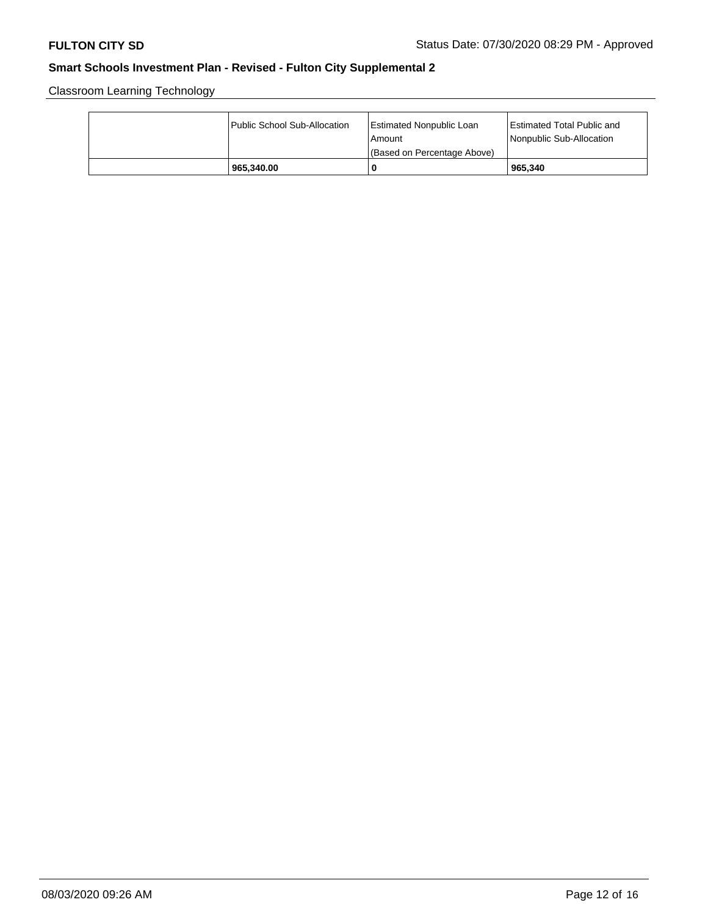Classroom Learning Technology

| Public School Sub-Allocation | <b>Estimated Nonpublic Loan</b><br>l Amount<br>(Based on Percentage Above) | <b>Estimated Total Public and</b><br>Nonpublic Sub-Allocation |
|------------------------------|----------------------------------------------------------------------------|---------------------------------------------------------------|
| 965.340.00                   |                                                                            | 965.340                                                       |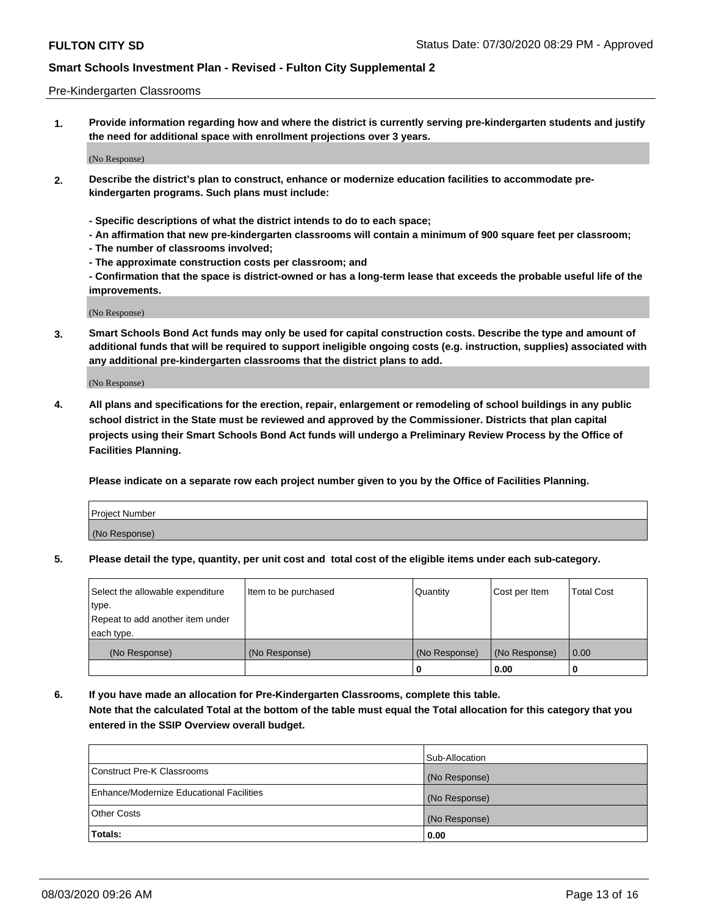### Pre-Kindergarten Classrooms

**1. Provide information regarding how and where the district is currently serving pre-kindergarten students and justify the need for additional space with enrollment projections over 3 years.**

(No Response)

- **2. Describe the district's plan to construct, enhance or modernize education facilities to accommodate prekindergarten programs. Such plans must include:**
	- **Specific descriptions of what the district intends to do to each space;**
	- **An affirmation that new pre-kindergarten classrooms will contain a minimum of 900 square feet per classroom;**
	- **The number of classrooms involved;**
	- **The approximate construction costs per classroom; and**
	- **Confirmation that the space is district-owned or has a long-term lease that exceeds the probable useful life of the improvements.**

(No Response)

**3. Smart Schools Bond Act funds may only be used for capital construction costs. Describe the type and amount of additional funds that will be required to support ineligible ongoing costs (e.g. instruction, supplies) associated with any additional pre-kindergarten classrooms that the district plans to add.**

(No Response)

**4. All plans and specifications for the erection, repair, enlargement or remodeling of school buildings in any public school district in the State must be reviewed and approved by the Commissioner. Districts that plan capital projects using their Smart Schools Bond Act funds will undergo a Preliminary Review Process by the Office of Facilities Planning.**

**Please indicate on a separate row each project number given to you by the Office of Facilities Planning.**

| Project Number |  |
|----------------|--|
| (No Response)  |  |
|                |  |

**5. Please detail the type, quantity, per unit cost and total cost of the eligible items under each sub-category.**

| Select the allowable expenditure | Item to be purchased | Quantity      | Cost per Item | <b>Total Cost</b> |
|----------------------------------|----------------------|---------------|---------------|-------------------|
| type.                            |                      |               |               |                   |
| Repeat to add another item under |                      |               |               |                   |
| each type.                       |                      |               |               |                   |
| (No Response)                    | (No Response)        | (No Response) | (No Response) | 0.00              |
|                                  |                      | U             | 0.00          |                   |

**6. If you have made an allocation for Pre-Kindergarten Classrooms, complete this table. Note that the calculated Total at the bottom of the table must equal the Total allocation for this category that you entered in the SSIP Overview overall budget.**

|                                          | Sub-Allocation |
|------------------------------------------|----------------|
| Construct Pre-K Classrooms               | (No Response)  |
| Enhance/Modernize Educational Facilities | (No Response)  |
| <b>Other Costs</b>                       | (No Response)  |
| Totals:                                  | 0.00           |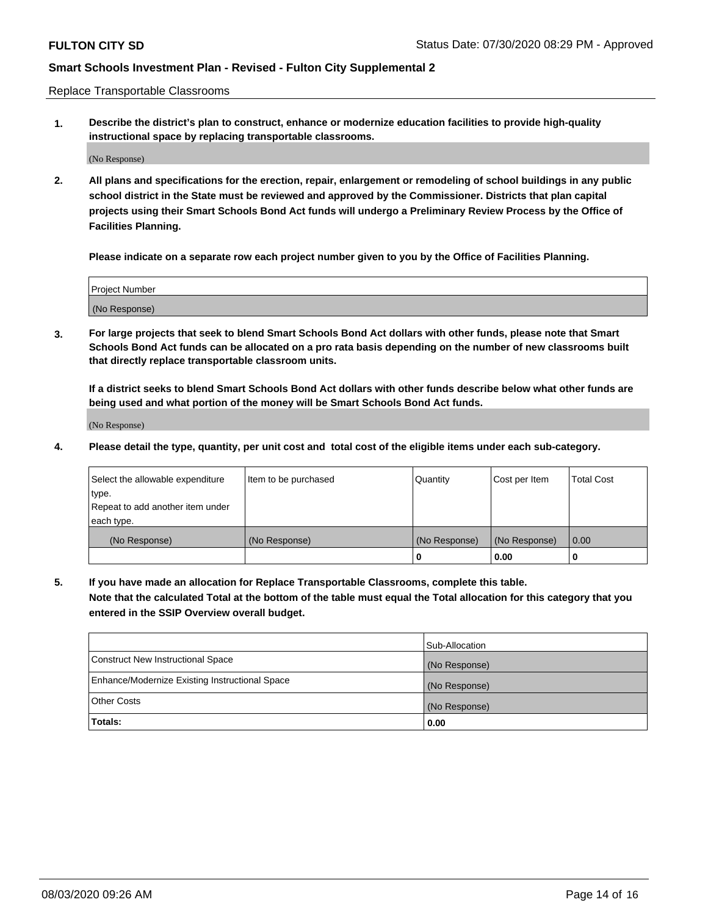Replace Transportable Classrooms

**1. Describe the district's plan to construct, enhance or modernize education facilities to provide high-quality instructional space by replacing transportable classrooms.**

(No Response)

**2. All plans and specifications for the erection, repair, enlargement or remodeling of school buildings in any public school district in the State must be reviewed and approved by the Commissioner. Districts that plan capital projects using their Smart Schools Bond Act funds will undergo a Preliminary Review Process by the Office of Facilities Planning.**

**Please indicate on a separate row each project number given to you by the Office of Facilities Planning.**

| Project Number |  |
|----------------|--|
|                |  |
| (No Response)  |  |

**3. For large projects that seek to blend Smart Schools Bond Act dollars with other funds, please note that Smart Schools Bond Act funds can be allocated on a pro rata basis depending on the number of new classrooms built that directly replace transportable classroom units.**

**If a district seeks to blend Smart Schools Bond Act dollars with other funds describe below what other funds are being used and what portion of the money will be Smart Schools Bond Act funds.**

(No Response)

**4. Please detail the type, quantity, per unit cost and total cost of the eligible items under each sub-category.**

| Select the allowable expenditure | Item to be purchased | Quantity      | Cost per Item | Total Cost |
|----------------------------------|----------------------|---------------|---------------|------------|
| ∣type.                           |                      |               |               |            |
| Repeat to add another item under |                      |               |               |            |
| each type.                       |                      |               |               |            |
| (No Response)                    | (No Response)        | (No Response) | (No Response) | 0.00       |
|                                  |                      | u             | 0.00          |            |

**5. If you have made an allocation for Replace Transportable Classrooms, complete this table. Note that the calculated Total at the bottom of the table must equal the Total allocation for this category that you entered in the SSIP Overview overall budget.**

|                                                | Sub-Allocation |
|------------------------------------------------|----------------|
| Construct New Instructional Space              | (No Response)  |
| Enhance/Modernize Existing Instructional Space | (No Response)  |
| Other Costs                                    | (No Response)  |
| Totals:                                        | 0.00           |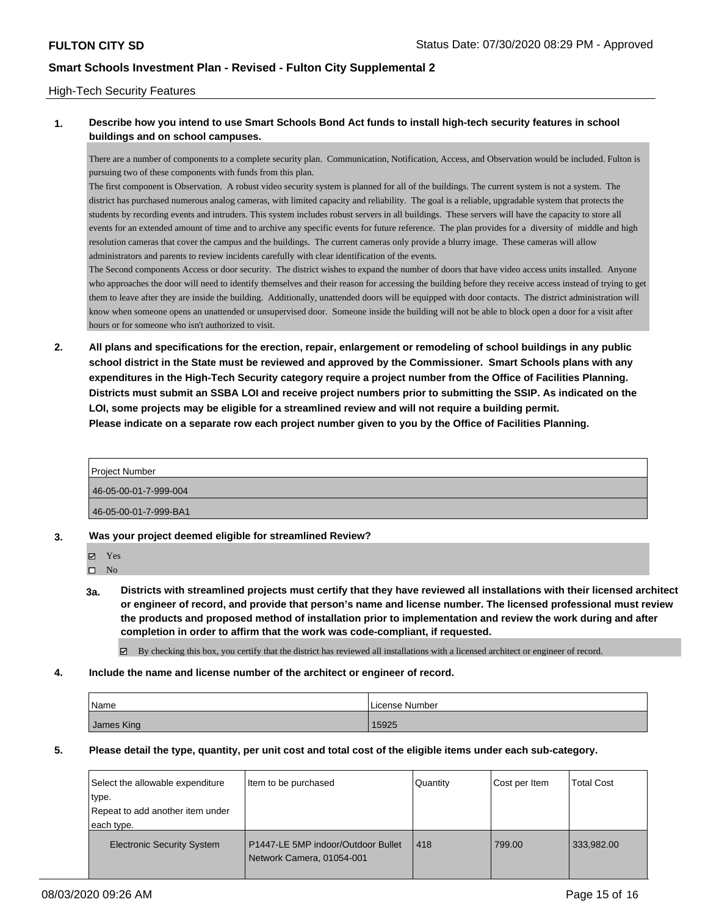### High-Tech Security Features

### **1. Describe how you intend to use Smart Schools Bond Act funds to install high-tech security features in school buildings and on school campuses.**

There are a number of components to a complete security plan. Communication, Notification, Access, and Observation would be included. Fulton is pursuing two of these components with funds from this plan.

The first component is Observation. A robust video security system is planned for all of the buildings. The current system is not a system. The district has purchased numerous analog cameras, with limited capacity and reliability. The goal is a reliable, upgradable system that protects the students by recording events and intruders. This system includes robust servers in all buildings. These servers will have the capacity to store all events for an extended amount of time and to archive any specific events for future reference. The plan provides for a diversity of middle and high resolution cameras that cover the campus and the buildings. The current cameras only provide a blurry image. These cameras will allow administrators and parents to review incidents carefully with clear identification of the events.

The Second components Access or door security. The district wishes to expand the number of doors that have video access units installed. Anyone who approaches the door will need to identify themselves and their reason for accessing the building before they receive access instead of trying to get them to leave after they are inside the building. Additionally, unattended doors will be equipped with door contacts. The district administration will know when someone opens an unattended or unsupervised door. Someone inside the building will not be able to block open a door for a visit after hours or for someone who isn't authorized to visit.

**2. All plans and specifications for the erection, repair, enlargement or remodeling of school buildings in any public school district in the State must be reviewed and approved by the Commissioner. Smart Schools plans with any expenditures in the High-Tech Security category require a project number from the Office of Facilities Planning. Districts must submit an SSBA LOI and receive project numbers prior to submitting the SSIP. As indicated on the LOI, some projects may be eligible for a streamlined review and will not require a building permit. Please indicate on a separate row each project number given to you by the Office of Facilities Planning.**

| <b>Project Number</b> |  |
|-----------------------|--|
| 46-05-00-01-7-999-004 |  |
| 46-05-00-01-7-999-BA1 |  |

- **3. Was your project deemed eligible for streamlined Review?**
	- Yes

 $\square$  No

**3a. Districts with streamlined projects must certify that they have reviewed all installations with their licensed architect or engineer of record, and provide that person's name and license number. The licensed professional must review the products and proposed method of installation prior to implementation and review the work during and after completion in order to affirm that the work was code-compliant, if requested.**

 $\boxtimes$  By checking this box, you certify that the district has reviewed all installations with a licensed architect or engineer of record.

**4. Include the name and license number of the architect or engineer of record.**

| Name       | l License Number |
|------------|------------------|
| James King | 15925            |

**5. Please detail the type, quantity, per unit cost and total cost of the eligible items under each sub-category.**

| Select the allowable expenditure  | Item to be purchased                                            | Quantity | Cost per Item | <b>Total Cost</b> |
|-----------------------------------|-----------------------------------------------------------------|----------|---------------|-------------------|
| type.                             |                                                                 |          |               |                   |
| Repeat to add another item under  |                                                                 |          |               |                   |
| each type.                        |                                                                 |          |               |                   |
| <b>Electronic Security System</b> | P1447-LE 5MP indoor/Outdoor Bullet<br>Network Camera, 01054-001 | 418      | 799.00        | 333,982.00        |